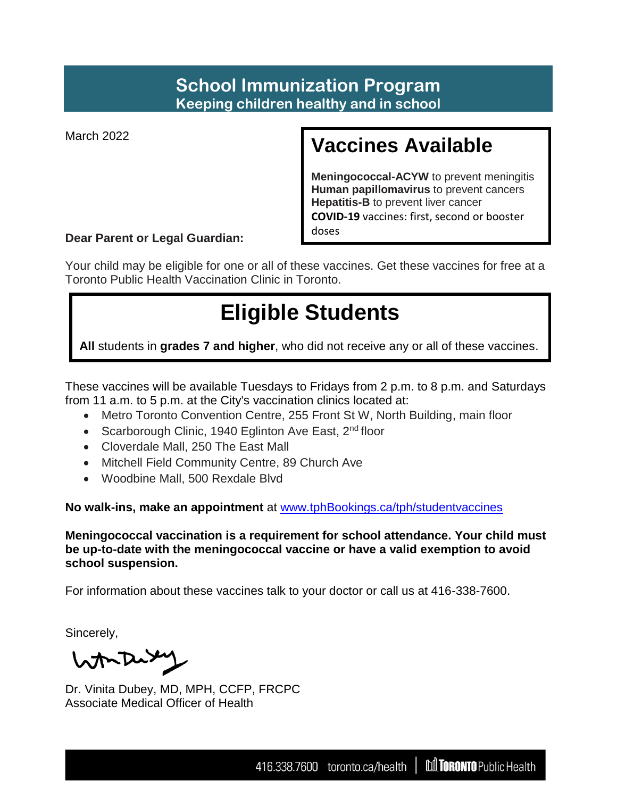### **School Immunization Program Keeping children healthy and in school**

March 2022

## **Vaccines Available**

**Meningococcal-ACYW** to prevent meningitis **Human papillomavirus** to prevent cancers **Hepatitis-B** to prevent liver cancer **COVID-19** vaccines: first, second or booster doses

**Dear Parent or Legal Guardian:** 

Your child may be eligible for one or all of these vaccines. Get these vaccines for free at a Toronto Public Health Vaccination Clinic in Toronto.

# **Eligible Students**

**All** students in **grades 7 and higher**, who did not receive any or all of these vaccines.

These vaccines will be available Tuesdays to Fridays from 2 p.m. to 8 p.m. and Saturdays from 11 a.m. to 5 p.m. at the City's vaccination clinics located at:

- Metro Toronto Convention Centre, 255 Front St W, North Building, main floor
- Scarborough Clinic, 1940 Eglinton Ave East, 2<sup>nd</sup> floor
- Cloverdale Mall, 250 The East Mall
- Mitchell Field Community Centre, 89 Church Ave
- Woodbine Mall, 500 Rexdale Blvd

**No walk-ins, make an appointment** at [www.tphBookings.ca/tph/studentvaccines](http://www.tphbookings.ca/tph/studentvaccines)

**Meningococcal vaccination is a requirement for school attendance. Your child must be up-to-date with the meningococcal vaccine or have a valid exemption to avoid school suspension.** 

For information about these vaccines talk to your doctor or call us at 416-338-7600.

Sincerely,

Worker

Dr. Vinita Dubey, MD, MPH, CCFP, FRCPC Associate Medical Officer of Health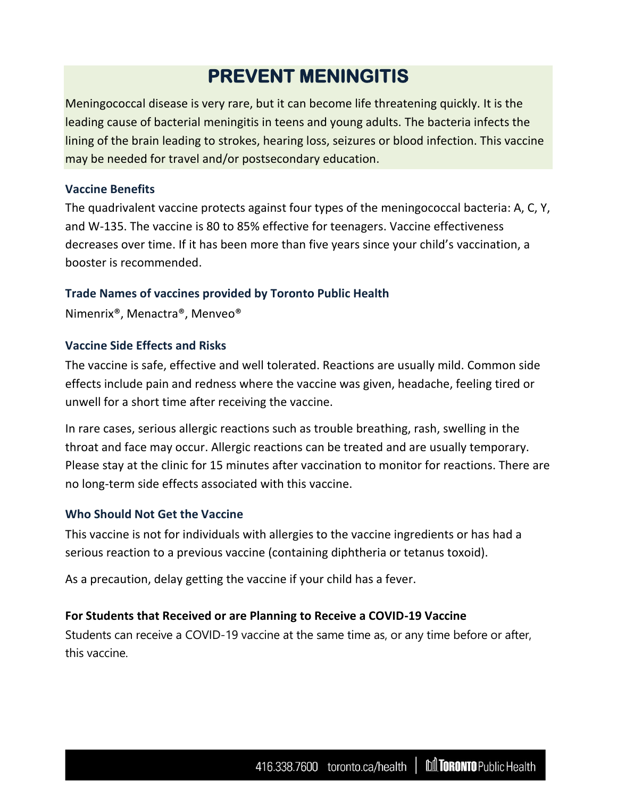### **PREVENT MENINGITIS**

Meningococcal disease is very rare, but it can become life threatening quickly. It is the leading cause of bacterial meningitis in teens and young adults. The bacteria infects the lining of the brain leading to strokes, hearing loss, seizures or blood infection. This vaccine may be needed for travel and/or postsecondary education.

#### **Vaccine Benefits**

The quadrivalent vaccine protects against four types of the meningococcal bacteria: A, C, Y, and W-135. The vaccine is 80 to 85% effective for teenagers. Vaccine effectiveness decreases over time. If it has been more than five years since your child's vaccination, a booster is recommended.

#### **Trade Names of vaccines provided by Toronto Public Health**

Nimenrix®, Menactra®, Menveo®

#### **Vaccine Side Effects and Risks**

The vaccine is safe, effective and well tolerated. Reactions are usually mild. Common side effects include pain and redness where the vaccine was given, headache, feeling tired or unwell for a short time after receiving the vaccine.

In rare cases, serious allergic reactions such as trouble breathing, rash, swelling in the throat and face may occur. Allergic reactions can be treated and are usually temporary. Please stay at the clinic for 15 minutes after vaccination to monitor for reactions. There are no long-term side effects associated with this vaccine.

#### **Who Should Not Get the Vaccine**

This vaccine is not for individuals with allergies to the vaccine ingredients or has had a serious reaction to a previous vaccine (containing diphtheria or tetanus toxoid).

As a precaution, delay getting the vaccine if your child has a fever.

#### **For Students that Received or are Planning to Receive a COVID-19 Vaccine**

Students can receive a COVID-19 vaccine at the same time as, or any time before or after, this vaccine.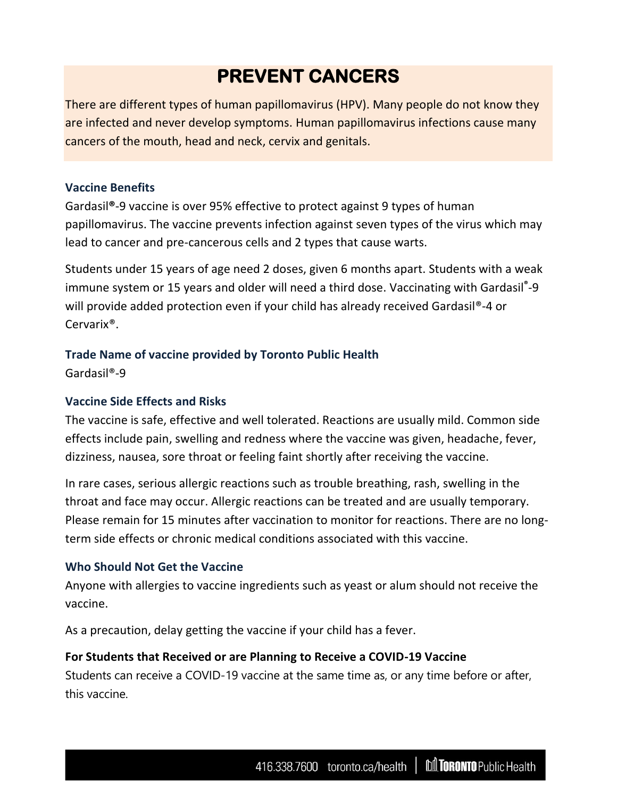### **PREVENT CANCERS**

There are different types of human papillomavirus (HPV). Many people do not know they are infected and never develop symptoms. Human papillomavirus infections cause many cancers of the mouth, head and neck, cervix and genitals.

#### **Vaccine Benefits**

Gardasil**®**-9 vaccine is over 95% effective to protect against 9 types of human papillomavirus. The vaccine prevents infection against seven types of the virus which may lead to cancer and pre-cancerous cells and 2 types that cause warts.

Students under 15 years of age need 2 doses, given 6 months apart. Students with a weak immune system or 15 years and older will need a third dose. Vaccinating with Gardasil**®** -9 will provide added protection even if your child has already received Gardasil<sup>®</sup>-4 or Cervarix®.

#### **Trade Name of vaccine provided by Toronto Public Health**

Gardasil®-9

#### **Vaccine Side Effects and Risks**

The vaccine is safe, effective and well tolerated. Reactions are usually mild. Common side effects include pain, swelling and redness where the vaccine was given, headache, fever, dizziness, nausea, sore throat or feeling faint shortly after receiving the vaccine.

In rare cases, serious allergic reactions such as trouble breathing, rash, swelling in the throat and face may occur. Allergic reactions can be treated and are usually temporary. Please remain for 15 minutes after vaccination to monitor for reactions. There are no longterm side effects or chronic medical conditions associated with this vaccine.

#### **Who Should Not Get the Vaccine**

Anyone with allergies to vaccine ingredients such as yeast or alum should not receive the vaccine.

As a precaution, delay getting the vaccine if your child has a fever.

#### **For Students that Received or are Planning to Receive a COVID-19 Vaccine**

Students can receive a COVID-19 vaccine at the same time as, or any time before or after, this vaccine.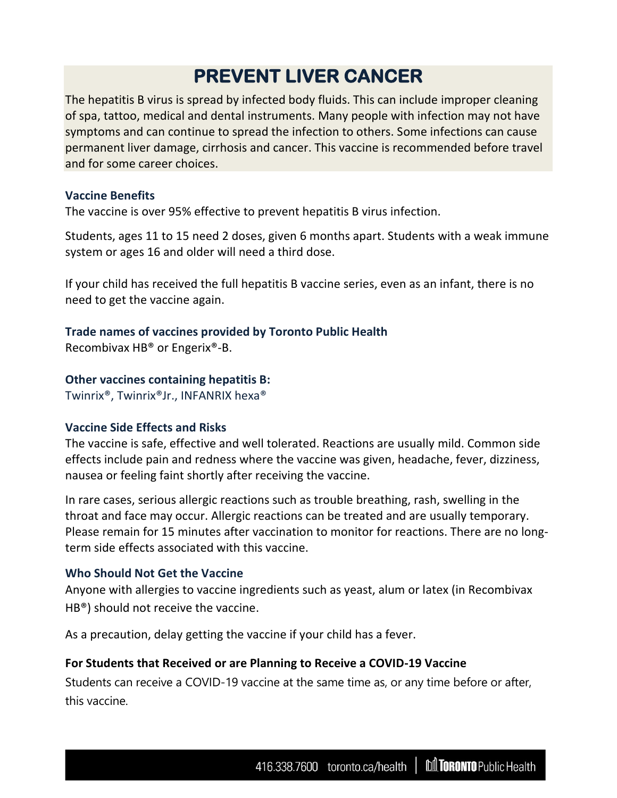### **PREVENT LIVER CANCER**

The hepatitis B virus is spread by infected body fluids. This can include improper cleaning of spa, tattoo, medical and dental instruments. Many people with infection may not have symptoms and can continue to spread the infection to others. Some infections can cause permanent liver damage, cirrhosis and cancer. This vaccine is recommended before travel and for some career choices.

#### **Vaccine Benefits**

The vaccine is over 95% effective to prevent hepatitis B virus infection.

Students, ages 11 to 15 need 2 doses, given 6 months apart. Students with a weak immune system or ages 16 and older will need a third dose.

If your child has received the full hepatitis B vaccine series, even as an infant, there is no need to get the vaccine again.

#### **Trade names of vaccines provided by Toronto Public Health**

Recombivax HB® or Engerix®-B.

#### **Other vaccines containing hepatitis B:**

Twinrix®, Twinrix®Jr., INFANRIX hexa®

#### **Vaccine Side Effects and Risks**

The vaccine is safe, effective and well tolerated. Reactions are usually mild. Common side effects include pain and redness where the vaccine was given, headache, fever, dizziness, nausea or feeling faint shortly after receiving the vaccine.

In rare cases, serious allergic reactions such as trouble breathing, rash, swelling in the throat and face may occur. Allergic reactions can be treated and are usually temporary. Please remain for 15 minutes after vaccination to monitor for reactions. There are no longterm side effects associated with this vaccine.

#### **Who Should Not Get the Vaccine**

Anyone with allergies to vaccine ingredients such as yeast, alum or latex (in Recombivax HB®) should not receive the vaccine.

As a precaution, delay getting the vaccine if your child has a fever.

#### **For Students that Received or are Planning to Receive a COVID-19 Vaccine**

Students can receive a COVID-19 vaccine at the same time as, or any time before or after, this vaccine.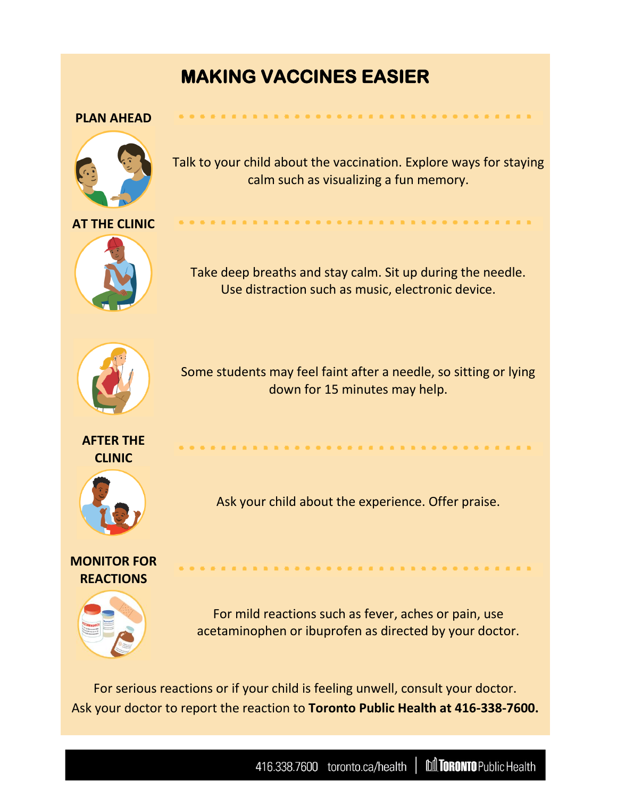### **MAKING VACCINES EASIER**

#### **PLAN AHEAD**



Talk to your child about the vaccination. Explore ways for staying calm such as visualizing a fun memory.

. . . . . . . . . . . . . . . . . . .



Take deep breaths and stay calm. Sit up during the needle. Use distraction such as music, electronic device.



Some students may feel faint after a needle, so sitting or lying down for 15 minutes may help.

**AFTER THE CLINIC**



Ask your child about the experience. Offer praise.

**MONITOR FOR REACTIONS**



For mild reactions such as fever, aches or pain, use acetaminophen or ibuprofen as directed by your doctor.

For serious reactions or if your child is feeling unwell, consult your doctor. Ask your doctor to report the reaction to **Toronto Public Health at 416-338-7600.**